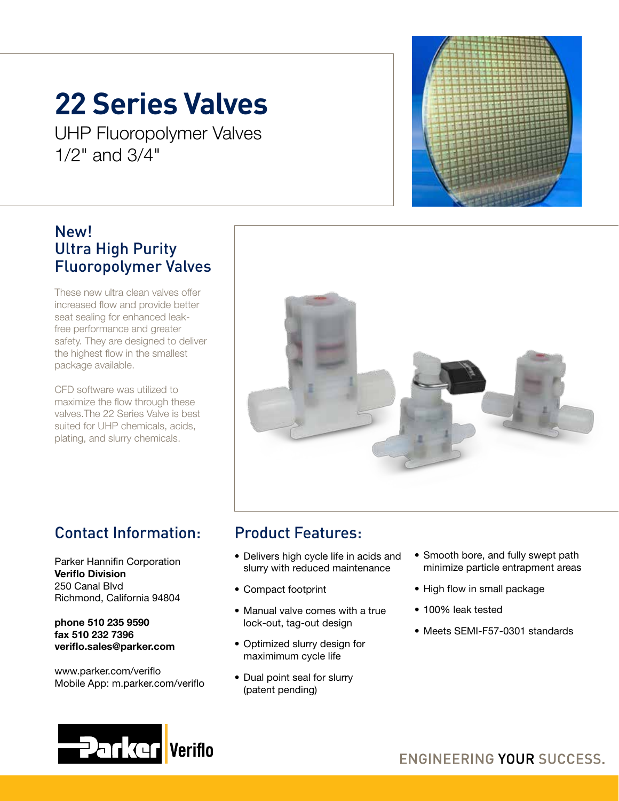## **22 Series Valves**

UHP Fluoropolymer Valves 1/2" and 3/4"

#### New! Ultra High Purity Fluoropolymer Valves

These new ultra clean valves offer increased flow and provide better seat sealing for enhanced leakfree performance and greater safety. They are designed to deliver the highest flow in the smallest package available.

CFD software was utilized to maximize the flow through these valves.The 22 Series Valve is best suited for UHP chemicals, acids, plating, and slurry chemicals.



## Contact Information:

Parker Hannifin Corporation Veriflo Division 250 Canal Blvd Richmond, California 94804

phone 510 235 9590 fax 510 232 7396 veriflo.sales@parker.com

www.parker.com/veriflo Mobile App: m.parker.com/veriflo

### Product Features:

- Delivers high cycle life in acids and slurry with reduced maintenance
- Compact footprint
- Manual valve comes with a true lock-out, tag-out design
- Optimized slurry design for maximimum cycle life
- Dual point seal for slurry (patent pending)
- Smooth bore, and fully swept path minimize particle entrapment areas
- High flow in small package
- 100% leak tested
- Meets SEMI-F57-0301 standards

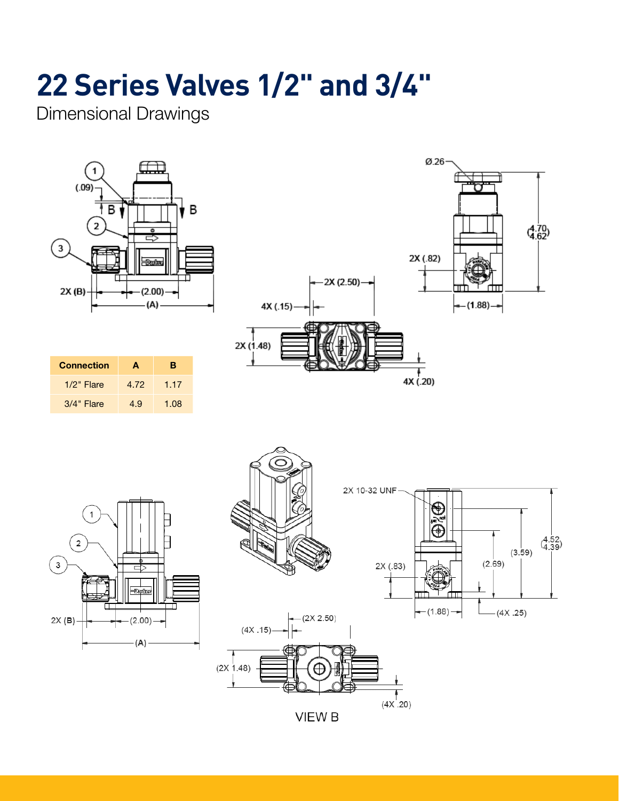## **22 Series Valves 1/2" and 3/4"**

Dimensional Drawings



| <b>Connection</b> | A    | в    |
|-------------------|------|------|
| $1/2$ " Flare     | 4.72 | 1.17 |
| 3/4" Flare        | 4.9  | 1.08 |







**VIEW B**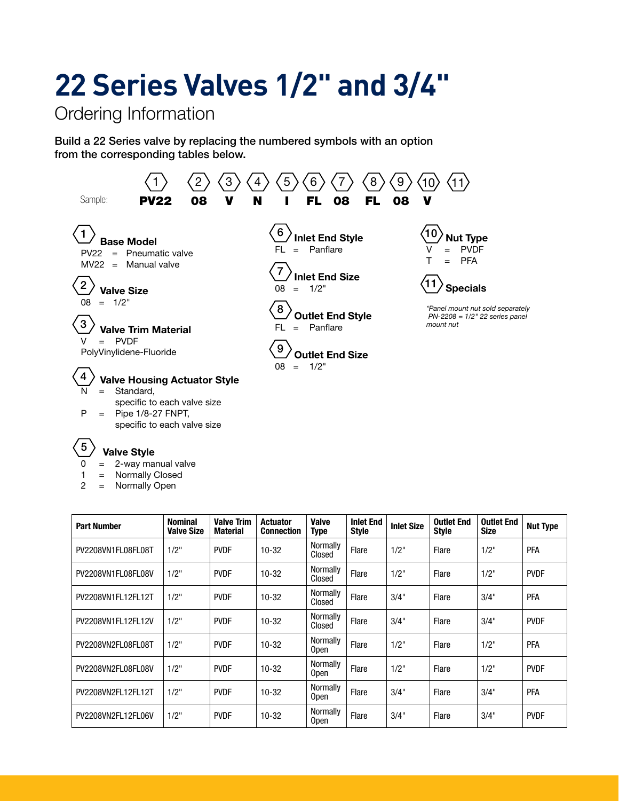## **22 Series Valves 1/2" and 3/4"**

Ordering Information

1 = Normally Closed 2 = Normally Open

Build a 22 Series valve by replacing the numbered symbols with an option from the corresponding tables below.



| <b>Part Number</b> | <b>Nominal</b><br><b>Valve Size</b> | <b>Valve Trim</b><br><b>Material</b> | <b>Actuator</b><br><b>Connection</b> | <b>Valve</b><br><b>Type</b> | <b>Inlet End</b><br><b>Style</b> | <b>Inlet Size</b> | <b>Outlet End</b><br><b>Style</b> | <b>Outlet End</b><br><b>Size</b> | <b>Nut Type</b> |
|--------------------|-------------------------------------|--------------------------------------|--------------------------------------|-----------------------------|----------------------------------|-------------------|-----------------------------------|----------------------------------|-----------------|
| PV2208VN1FL08FL08T | $1/2$ "                             | <b>PVDF</b>                          | $10 - 32$                            | Normally<br>Closed          | Flare                            | 1/2"              | Flare                             | 1/2"                             | <b>PFA</b>      |
| PV2208VN1FL08FL08V | $1/2$ "                             | <b>PVDF</b>                          | $10 - 32$                            | Normally<br>Closed          | Flare                            | 1/2"              | Flare                             | 1/2"                             | <b>PVDF</b>     |
| PV2208VN1FL12FL12T | 1/2"                                | <b>PVDF</b>                          | $10 - 32$                            | Normally<br>Closed          | Flare                            | 3/4"              | Flare                             | 3/4"                             | <b>PFA</b>      |
| PV2208VN1FL12FL12V | $1/2$ "                             | <b>PVDF</b>                          | $10 - 32$                            | Normally<br>Closed          | Flare                            | 3/4"              | Flare                             | 3/4"                             | <b>PVDF</b>     |
| PV2208VN2FL08FL08T | $1/2$ "                             | <b>PVDF</b>                          | $10 - 32$                            | Normally<br>0pen            | Flare                            | $1/2$ "           | Flare                             | 1/2"                             | <b>PFA</b>      |
| PV2208VN2FL08FL08V | $1/2$ "                             | <b>PVDF</b>                          | $10 - 32$                            | Normally<br>0pen            | Flare                            | $1/2$ "           | Flare                             | 1/2"                             | <b>PVDF</b>     |
| PV2208VN2FL12FL12T | $1/2$ "                             | <b>PVDF</b>                          | $10 - 32$                            | <b>Normally</b><br>0pen     | Flare                            | 3/4"              | Flare                             | $3/4$ "                          | <b>PFA</b>      |
| PV2208VN2FL12FL06V | $1/2$ "                             | <b>PVDF</b>                          | $10 - 32$                            | Normally<br><b>Open</b>     | Flare                            | 3/4"              | Flare                             | 3/4"                             | <b>PVDF</b>     |